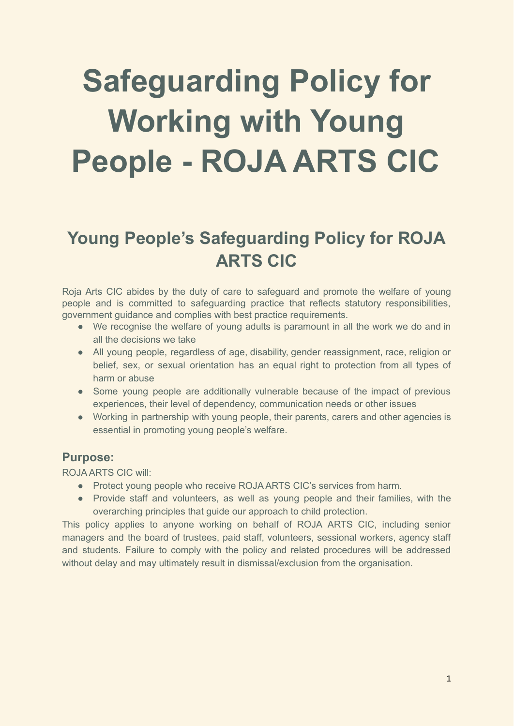# **Safeguarding Policy for Working with Young People - ROJA ARTS CIC**

# **Young People's Safeguarding Policy for ROJA ARTS CIC**

Roja Arts CIC abides by the duty of care to safeguard and promote the welfare of young people and is committed to safeguarding practice that reflects statutory responsibilities, government guidance and complies with best practice requirements.

- We recognise the welfare of young adults is paramount in all the work we do and in all the decisions we take
- All young people, regardless of age, disability, gender reassignment, race, religion or belief, sex, or sexual orientation has an equal right to protection from all types of harm or abuse
- Some young people are additionally vulnerable because of the impact of previous experiences, their level of dependency, communication needs or other issues
- Working in partnership with young people, their parents, carers and other agencies is essential in promoting young people's welfare.

## **Purpose:**

ROJA ARTS CIC will:

- Protect young people who receive ROJA ARTS CIC's services from harm.
- Provide staff and volunteers, as well as young people and their families, with the overarching principles that guide our approach to child protection.

This policy applies to anyone working on behalf of ROJA ARTS CIC, including senior managers and the board of trustees, paid staff, volunteers, sessional workers, agency staff and students. Failure to comply with the policy and related procedures will be addressed without delay and may ultimately result in dismissal/exclusion from the organisation.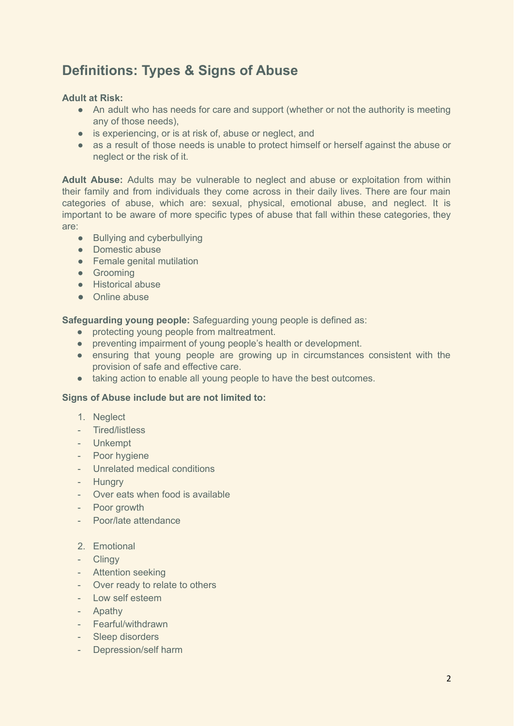# **Definitions: Types & Signs of Abuse**

#### **Adult at Risk:**

- An adult who has needs for care and support (whether or not the authority is meeting any of those needs),
- is experiencing, or is at risk of, abuse or neglect, and
- as a result of those needs is unable to protect himself or herself against the abuse or neglect or the risk of it.

**Adult Abuse:** Adults may be vulnerable to neglect and abuse or exploitation from within their family and from individuals they come across in their daily lives. There are four main categories of abuse, which are: sexual, physical, emotional abuse, and neglect. It is important to be aware of more specific types of abuse that fall within these categories, they are:

- Bullying and cyberbullying
- Domestic abuse
- Female genital mutilation
- **•** Grooming
- Historical abuse
- Online abuse

**Safeguarding young people:** Safeguarding young people is defined as:

- protecting young people from maltreatment.
- preventing impairment of young people's health or development.
- ensuring that young people are growing up in circumstances consistent with the provision of safe and effective care.
- taking action to enable all young people to have the best outcomes.

#### **Signs of Abuse include but are not limited to:**

- 1. Neglect
- Tired/listless
- Unkempt
- Poor hygiene
- Unrelated medical conditions
- Hungry
- Over eats when food is available
- Poor growth
- Poor/late attendance
- 2. Emotional
- Clingy
- Attention seeking
- Over ready to relate to others
- Low self esteem
- Apathy
- Fearful/withdrawn
- Sleep disorders
- Depression/self harm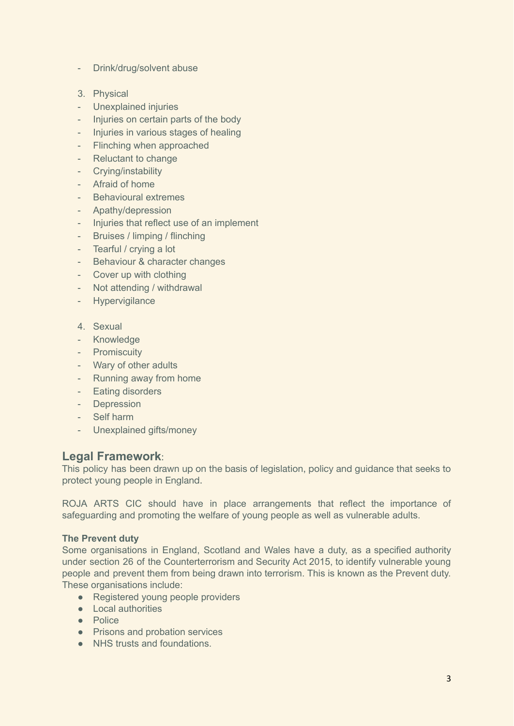- Drink/drug/solvent abuse
- 3. Physical
- Unexplained injuries
- Injuries on certain parts of the body
- Injuries in various stages of healing
- Flinching when approached
- Reluctant to change
- Crying/instability
- Afraid of home
- Behavioural extremes
- Apathy/depression
- Injuries that reflect use of an implement
- Bruises / limping / flinching
- Tearful / crying a lot
- Behaviour & character changes
- Cover up with clothing
- Not attending / withdrawal
- Hypervigilance
- 4. Sexual
- Knowledge
- Promiscuity
- Wary of other adults
- Running away from home
- Eating disorders
- Depression
- Self harm
- Unexplained gifts/money

## **Legal Framework**:

This policy has been drawn up on the basis of legislation, policy and guidance that seeks to protect young people in England.

ROJA ARTS CIC should have in place arrangements that reflect the importance of safeguarding and promoting the welfare of young people as well as vulnerable adults.

#### **The Prevent duty**

Some organisations in England, Scotland and Wales have a duty, as a specified authority under section 26 of the Counterterrorism and Security Act 2015, to identify vulnerable young people and prevent them from being drawn into terrorism. This is known as the Prevent duty. These organisations include:

- Registered young people providers
- Local authorities
- Police
- Prisons and probation services
- NHS trusts and foundations.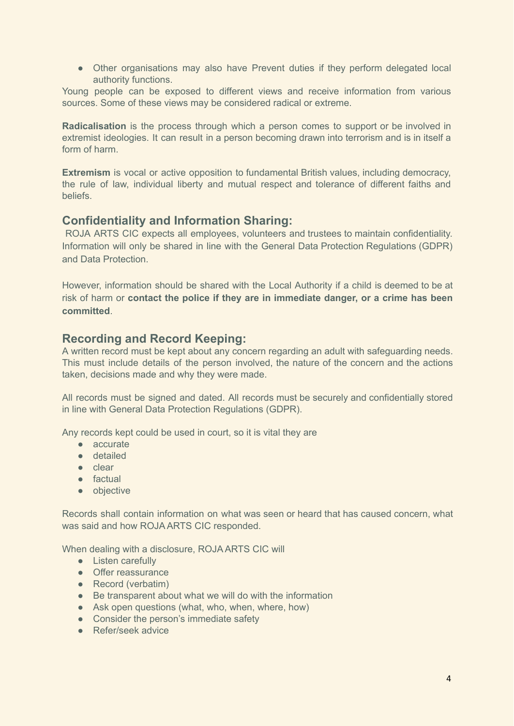• Other organisations may also have Prevent duties if they perform delegated local authority functions.

Young people can be exposed to different views and receive information from various sources. Some of these views may be considered radical or extreme.

**Radicalisation** is the process through which a person comes to support or be involved in extremist ideologies. It can result in a person becoming drawn into terrorism and is in itself a form of harm.

**Extremism** is vocal or active opposition to fundamental British values, including democracy, the rule of law, individual liberty and mutual respect and tolerance of different faiths and beliefs.

## **Confidentiality and Information Sharing:**

ROJA ARTS CIC expects all employees, volunteers and trustees to maintain confidentiality. Information will only be shared in line with the General Data Protection Regulations (GDPR) and Data Protection.

However, information should be shared with the Local Authority if a child is deemed to be at risk of harm or **contact the police if they are in immediate danger, or a crime has been committed**.

# **Recording and Record Keeping:**

A written record must be kept about any concern regarding an adult with safeguarding needs. This must include details of the person involved, the nature of the concern and the actions taken, decisions made and why they were made.

All records must be signed and dated. All records must be securely and confidentially stored in line with General Data Protection Regulations (GDPR).

Any records kept could be used in court, so it is vital they are

- accurate
- detailed
- clear
- factual
- objective

Records shall contain information on what was seen or heard that has caused concern, what was said and how ROJA ARTS CIC responded.

When dealing with a disclosure, ROJA ARTS CIC will

- Listen carefully
- Offer reassurance
- Record (verbatim)
- Be transparent about what we will do with the information
- Ask open questions (what, who, when, where, how)
- Consider the person's immediate safety
- Refer/seek advice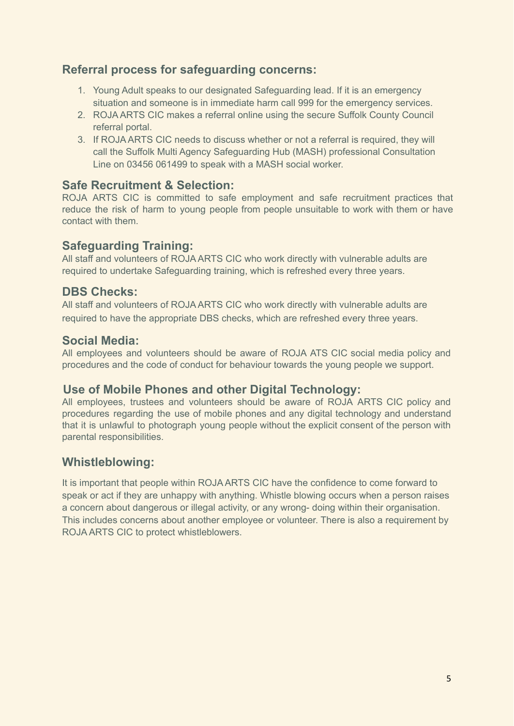# **Referral process for safeguarding concerns:**

- 1. Young Adult speaks to our designated Safeguarding lead. If it is an emergency situation and someone is in immediate harm call 999 for the emergency services.
- 2. ROJA ARTS CIC makes a referral online using the secure Suffolk County Council referral portal.
- 3. If ROJA ARTS CIC needs to discuss whether or not a referral is required, they will call the Suffolk Multi Agency Safeguarding Hub (MASH) professional Consultation Line on 03456 061499 to speak with a MASH social worker.

# **Safe Recruitment & Selection:**

ROJA ARTS CIC is committed to safe employment and safe recruitment practices that reduce the risk of harm to young people from people unsuitable to work with them or have contact with them.

# **Safeguarding Training:**

All staff and volunteers of ROJA ARTS CIC who work directly with vulnerable adults are required to undertake Safeguarding training, which is refreshed every three years.

# **DBS Checks:**

All staff and volunteers of ROJA ARTS CIC who work directly with vulnerable adults are required to have the appropriate DBS checks, which are refreshed every three years.

# **Social Media:**

All employees and volunteers should be aware of ROJA ATS CIC social media policy and procedures and the code of conduct for behaviour towards the young people we support.

# **Use of Mobile Phones and other Digital Technology:**

All employees, trustees and volunteers should be aware of ROJA ARTS CIC policy and procedures regarding the use of mobile phones and any digital technology and understand that it is unlawful to photograph young people without the explicit consent of the person with parental responsibilities.

# **Whistleblowing:**

It is important that people within ROJA ARTS CIC have the confidence to come forward to speak or act if they are unhappy with anything. Whistle blowing occurs when a person raises a concern about dangerous or illegal activity, or any wrong- doing within their organisation. This includes concerns about another employee or volunteer. There is also a requirement by ROJA ARTS CIC to protect whistleblowers.